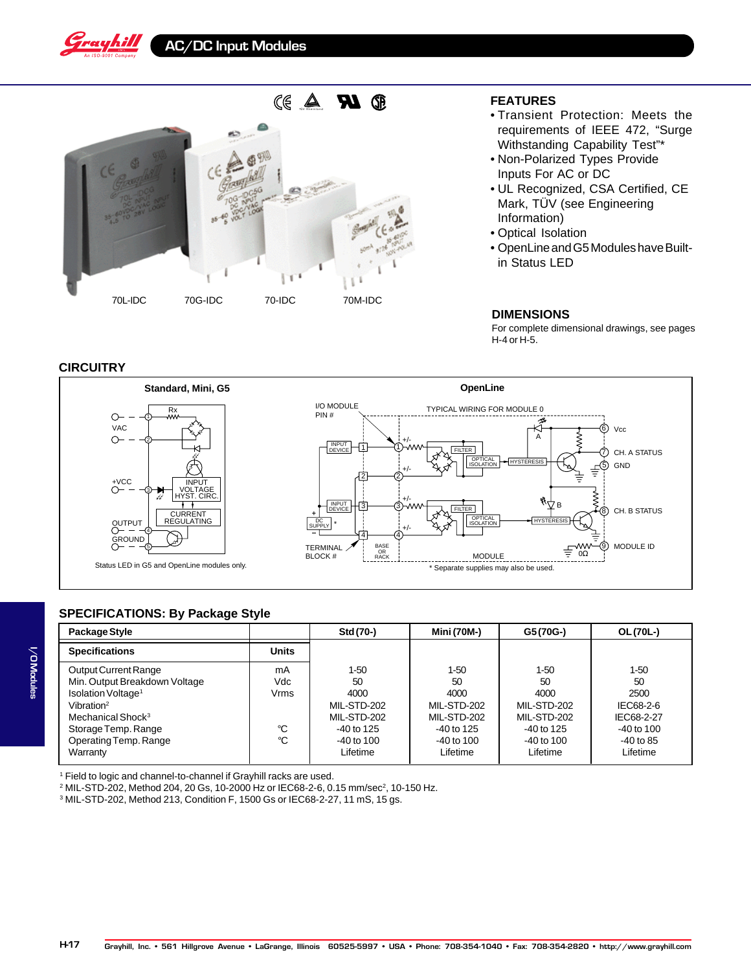



## **FEATURES**

- Transient Protection: Meets the requirements of IEEE 472, "Surge Withstanding Capability Test"\*
- Non-Polarized Types Provide Inputs For AC or DC
- UL Recognized, CSA Certified, CE Mark, TÜV (see Engineering Information)
- Optical Isolation
- OpenLine and G5 Modules have Builtin Status LED

#### **DIMENSIONS**

For complete dimensional drawings, see pages H-4 or H-5.

## **CIRCUITRY**



# **SPECIFICATIONS: By Package Style**

| Package Style                  |              | Std (70-)    | <b>Mini (70M-)</b> | G5(70G-)     | OL (70L-)      |
|--------------------------------|--------------|--------------|--------------------|--------------|----------------|
| <b>Specifications</b>          | <b>Units</b> |              |                    |              |                |
| Output Current Range           | mA           | $1-50$       | 1-50               | 1-50         | $1 - 50$       |
| Min. Output Breakdown Voltage  | Vdc          | 50           | 50                 | 50           | 50             |
| Isolation Voltage <sup>1</sup> | <b>Vrms</b>  | 4000         | 4000               | 4000         | 2500           |
| Vibration <sup>2</sup>         |              | MIL-STD-202  | MIL-STD-202        | MIL-STD-202  | IEC68-2-6      |
| Mechanical Shock <sup>3</sup>  |              | MIL-STD-202  | MIL-STD-202        | MIL-STD-202  | IEC68-2-27     |
| Storage Temp. Range            | °C           | $-40$ to 125 | $-40$ to 125       | $-40$ to 125 | $-40$ to $100$ |
| Operating Temp. Range          | °C           | $-40$ to 100 | -40 to 100         | $-40$ to 100 | $-40$ to 85    |
| Warranty                       |              | Lifetime     | Lifetime           | Lifetime     | Lifetime       |

1 Field to logic and channel-to-channel if Grayhill racks are used.

 $^2$  MIL-STD-202, Method 204, 20 Gs, 10-2000 Hz or IEC68-2-6, 0.15 mm/sec $^2$ , 10-150 Hz.

3 MIL-STD-202, Method 213, Condition F, 1500 Gs or IEC68-2-27, 11 mS, 15 gs.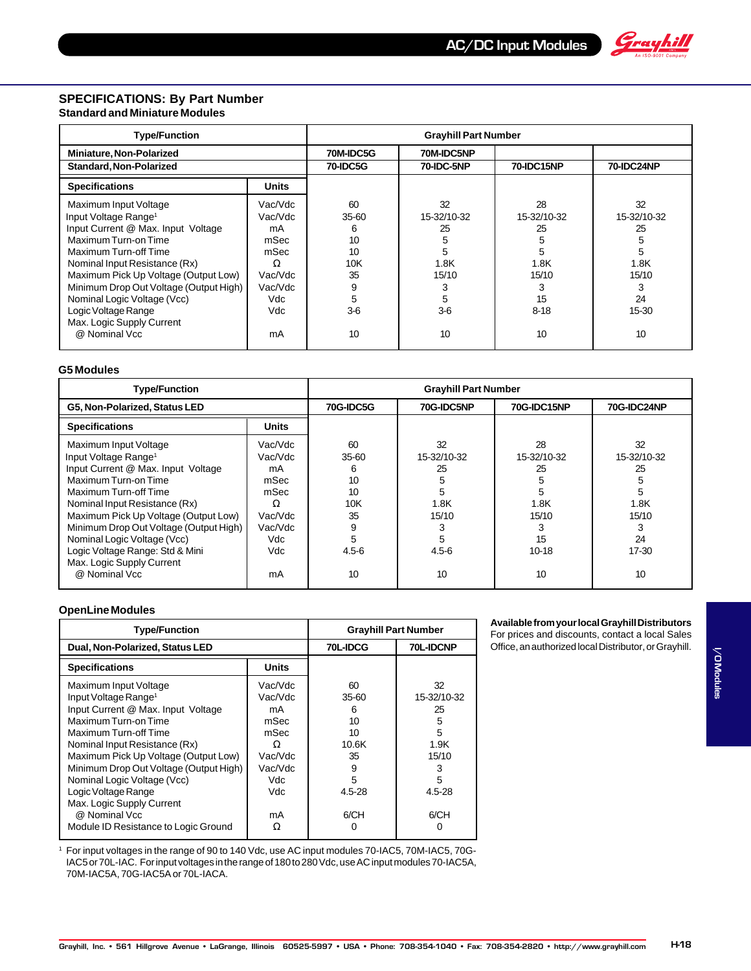

## **SPECIFICATIONS: By Part Number Standard and Miniature Modules**

| <b>Type/Function</b>                   |         | <b>Grayhill Part Number</b> |             |             |                   |
|----------------------------------------|---------|-----------------------------|-------------|-------------|-------------------|
| Miniature, Non-Polarized               |         | 70M-IDC5G                   | 70M-IDC5NP  |             |                   |
| <b>Standard, Non-Polarized</b>         |         | <b>70-IDC5G</b>             | 70-IDC-5NP  | 70-IDC15NP  | <b>70-IDC24NP</b> |
| <b>Specifications</b>                  | Units   |                             |             |             |                   |
| Maximum Input Voltage                  | Vac/Vdc | 60                          | 32          | 28          | 32                |
| Input Voltage Range <sup>1</sup>       | Vac/Vdc | $35-60$                     | 15-32/10-32 | 15-32/10-32 | 15-32/10-32       |
| Input Current @ Max. Input Voltage     | mA      | 6                           | 25          | 25          | 25                |
| Maximum Turn-on Time                   | mSec    | 10                          |             | 5           | 5                 |
| Maximum Turn-off Time                  | mSec    | 10                          | 5           | 5           | 5                 |
| Nominal Input Resistance (Rx)          | Ω       | 10K                         | 1.8K        | 1.8K        | 1.8K              |
| Maximum Pick Up Voltage (Output Low)   | Vac/Vdc | 35                          | 15/10       | 15/10       | 15/10             |
| Minimum Drop Out Voltage (Output High) | Vac/Vdc | 9                           | 3           | 3           | 3                 |
| Nominal Logic Voltage (Vcc)            | Vdc     | 5                           | 5           | 15          | 24                |
| Logic Voltage Range                    | Vdc     | $3-6$                       | $3-6$       | $8 - 18$    | 15-30             |
| Max. Logic Supply Current              |         |                             |             |             |                   |
| @ Nominal Vcc                          | mA      | 10                          | 10          | 10          | 10                |

#### **G5 Modules**

| <b>Type/Function</b>                                                                                                                                                                           |                                               | <b>Grayhill Part Number</b>                 |                                           |                                           |                                           |
|------------------------------------------------------------------------------------------------------------------------------------------------------------------------------------------------|-----------------------------------------------|---------------------------------------------|-------------------------------------------|-------------------------------------------|-------------------------------------------|
| G5, Non-Polarized, Status LED                                                                                                                                                                  |                                               | <b>70G-IDC5G</b>                            | 70G-IDC5NP                                | <b>70G-IDC15NP</b>                        | 70G-IDC24NP                               |
| <b>Specifications</b>                                                                                                                                                                          | <b>Units</b>                                  |                                             |                                           |                                           |                                           |
| Maximum Input Voltage<br>Input Voltage Range <sup>1</sup><br>Input Current @ Max. Input Voltage<br>Maximum Turn-on Time<br>Maximum Turn-off Time<br>Nominal Input Resistance (Rx)              | Vac/Vdc<br>Vac/Vdc<br>mA<br>mSec<br>mSec<br>Ω | 60<br>$35-60$<br>6<br>10<br>10<br>10K<br>35 | 32<br>15-32/10-32<br>25<br>5<br>h<br>1.8K | 28<br>15-32/10-32<br>25<br>5<br>5<br>1.8K | 32<br>15-32/10-32<br>25<br>5<br>5<br>1.8K |
| Maximum Pick Up Voltage (Output Low)<br>Minimum Drop Out Voltage (Output High)<br>Nominal Logic Voltage (Vcc)<br>Logic Voltage Range: Std & Mini<br>Max. Logic Supply Current<br>@ Nominal Vcc | Vac/Vdc<br>Vac/Vdc<br>Vdc<br>Vdc<br>mA        | 9<br>5<br>$4.5 - 6$<br>10                   | 15/10<br>5<br>$4.5 - 6$<br>10             | 15/10<br>15<br>$10 - 18$<br>10            | 15/10<br>3<br>24<br>17-30<br>10           |

#### **OpenLine Modules**

| <b>Type/Function</b>                                                                                                                                                                                                                                                                               | <b>Grayhill Part Number</b>                                                |                                                         |                                                              |
|----------------------------------------------------------------------------------------------------------------------------------------------------------------------------------------------------------------------------------------------------------------------------------------------------|----------------------------------------------------------------------------|---------------------------------------------------------|--------------------------------------------------------------|
| Dual, Non-Polarized, Status LED                                                                                                                                                                                                                                                                    |                                                                            | 70L-IDCG                                                | 70L-IDCNP                                                    |
| <b>Specifications</b>                                                                                                                                                                                                                                                                              | <b>Units</b>                                                               |                                                         |                                                              |
| Maximum Input Voltage<br>Input Voltage Range <sup>1</sup><br>Input Current @ Max. Input Voltage<br>Maximum Turn-on Time<br>Maximum Turn-off Time<br>Nominal Input Resistance (Rx)<br>Maximum Pick Up Voltage (Output Low)<br>Minimum Drop Out Voltage (Output High)<br>Nominal Logic Voltage (Vcc) | Vac/Vdc<br>Vac/Vdc<br>mA<br>mSec<br>mSec<br>Ω<br>Vac/Vdc<br>Vac/Vdc<br>Vdc | 60<br>$35-60$<br>6<br>10<br>10<br>10.6K<br>35<br>9<br>5 | 32<br>15-32/10-32<br>25<br>5<br>5<br>1.9K<br>15/10<br>3<br>5 |
| Logic Voltage Range<br>Max. Logic Supply Current<br>@ Nominal Vcc<br>Module ID Resistance to Logic Ground                                                                                                                                                                                          | Vdc<br>mA<br>Ω                                                             | 4.5-28<br>6/CH                                          | 4.5-28<br>6/CH                                               |

<sup>1</sup> For input voltages in the range of 90 to 140 Vdc, use AC input modules 70-IAC5, 70M-IAC5, 70G-IAC5 or 70L-IAC. For input voltages in the range of 180 to 280 Vdc, use AC input modules 70-IAC5A, 70M-IAC5A, 70G-IAC5A or 70L-IACA.

#### **Available from your local Grayhill Distributors** For prices and discounts, contact a local Sales

Office, an authorized local Distributor, or Grayhill.